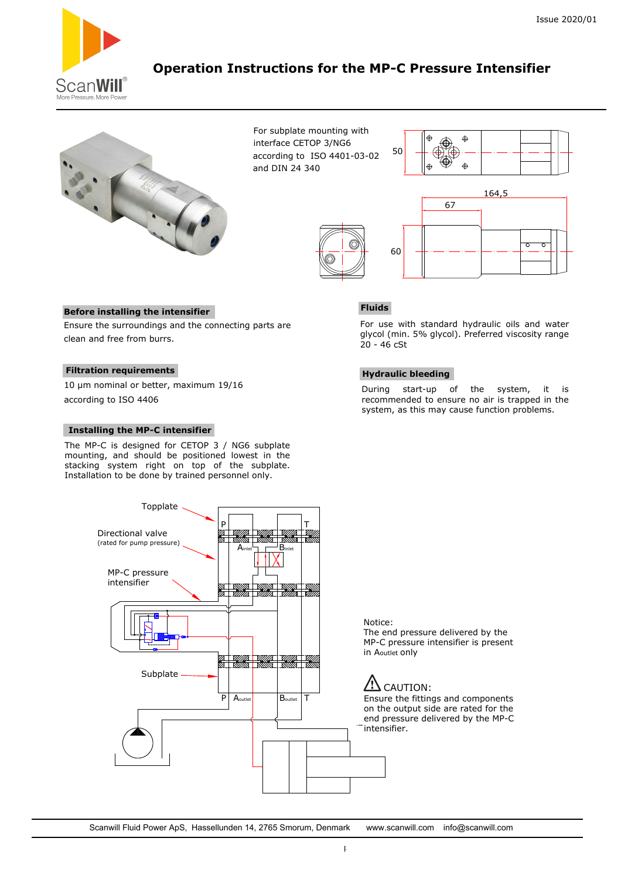

# **Operation Instructions for the MP-C Pressure Intensifier**



For subplate mounting with interface CETOP 3/NG6 according to ISO 4401-03-02 and DIN 24 340







#### **Before installing the intensifier**

Ensure the surroundings and the connecting parts are clean and free from burrs.

### **Filtration requirements**

10 µm nominal or better, maximum 19/16 according to ISO 4406

#### **Installing the MP-C intensifier**

Directional valve (rated for pump pressure)

> MP-C pressure intensifier

The MP-C is designed for CETOP 3 / NG6 subplate mounting, and should be positioned lowest in the stacking system right on top of the subplate. Installation to be done by trained personnel only.

Topplate

Subplate

### **Fluids**

For use with standard hydraulic oils and water glycol (min. 5% glycol). Preferred viscosity range 20 - 46 cSt

#### **Hydraulic bleeding**

During start-up of the system, it is recommended to ensure no air is trapped in the system, as this may cause function problems.

Notice: The end pressure delivered by the MP-C pressure intensifier is present in Aoutlet only

# CAUTION:

Ensure the fittings and components on the output side are rated for the end pressure delivered by the MP-C intensifier.

Scanwill Fluid Power ApS, Hassellunden 14, 2765 Smorum, Denmark www.scanwill.com info@s[canwill.com](http://www.roemheld.com/)

 $\mathsf{A}_{\mathsf{inlet}}$   $\mathsf{\underline{--}}$   $\mathsf{B}_{\mathsf{inlet}}$ 

P Aoutlet Boutlet T

P T